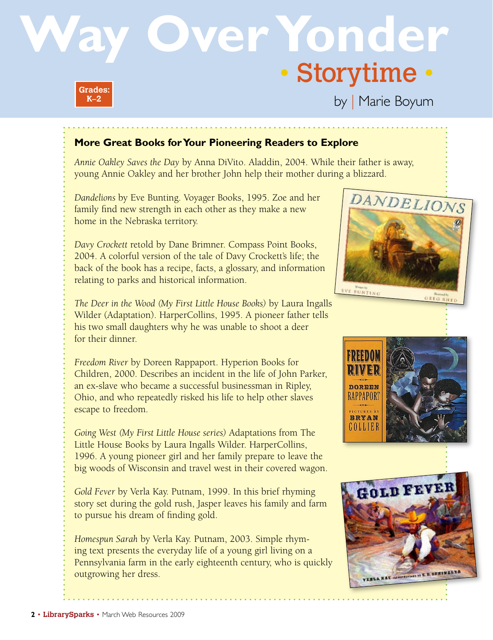## **Over Yonder** • Storytime • **Grades:**

by | Marie Boyum

## **More Great Books for Your Pioneering Readers to Explore**

*Annie Oakley Saves the Day* by Anna DiVito. Aladdin, 2004. While their father is away, young Annie Oakley and her brother John help their mother during a blizzard.

*Dandelions* by Eve Bunting. Voyager Books, 1995. Zoe and her family find new strength in each other as they make a new home in the Nebraska territory.

*Davy Crockett* retold by Dane Brimner. Compass Point Books, 2004. A colorful version of the tale of Davy Crockett's life; the back of the book has a recipe, facts, a glossary, and information relating to parks and historical information.

*The Deer in the Wood (My First Little House Books)* by Laura Ingalls Wilder (Adaptation). HarperCollins, 1995. A pioneer father tells his two small daughters why he was unable to shoot a deer for their dinner.

*Freedom River* by Doreen Rappaport. Hyperion Books for Children, 2000. Describes an incident in the life of John Parker, an ex-slave who became a successful businessman in Ripley, Ohio, and who repeatedly risked his life to help other slaves escape to freedom.

*Going West (My First Little House series)* Adaptations from The Little House Books by Laura Ingalls Wilder. HarperCollins, 1996. A young pioneer girl and her family prepare to leave the big woods of Wisconsin and travel west in their covered wagon.

*Gold Fever* by Verla Kay. Putnam, 1999. In this brief rhyming story set during the gold rush, Jasper leaves his family and farm to pursue his dream of finding gold.

*Homespun Sarah* by Verla Kay. Putnam, 2003. Simple rhyming text presents the everyday life of a young girl living on a Pennsylvania farm in the early eighteenth century, who is quickly outgrowing her dress.







**K–2**